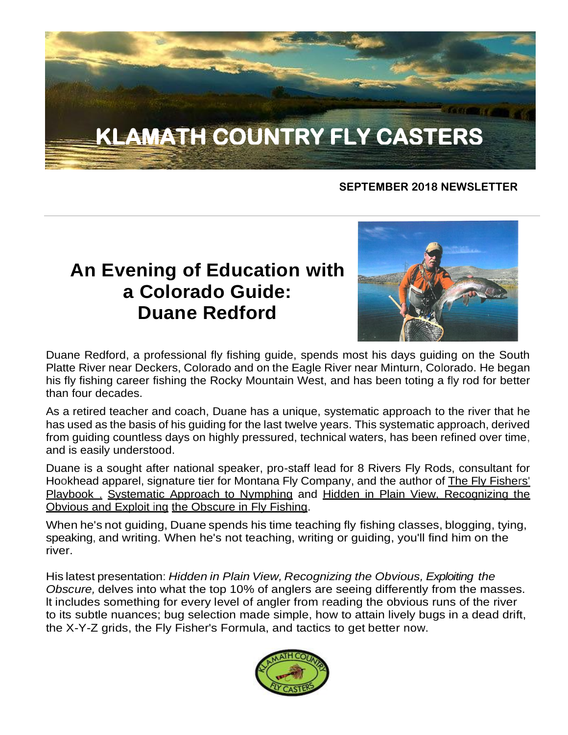# **KLAMATH COUNTRY FLY CASTERS**

### **SEPTEMBER 2018 NEWSLETTER**

# **An Evening of Education with a Colorado Guide: Duane Redford**



Duane Redford, a professional fly fishing guide, spends most his days guiding on the South Platte River near Deckers, Colorado and on the Eagle River near Minturn, Colorado. He began his fly fishing career fishing the Rocky Mountain West, and has been toting a fly rod for better than four decades.

As a retired teacher and coach, Duane has a unique, systematic approach to the river that he has used as the basis of his guiding for the last twelve years. This systematic approach, derived from guiding countless days on highly pressured, technical waters, has been refined over time, and is easily understood.

Duane is a sought after national speaker, pro-staff lead for 8 Rivers Fly Rods, consultant for Hookhead apparel, signature tier for Montana Fly Company, and the author of The Fly Fishers' Playbook , Systematic Approach to Nymphing and Hidden in Plain View, Recognizing the Obvious and Exploit ing the Obscure in Fly Fishing.

When he's not guiding, Duane spends his time teaching fly fishing classes, blogging, tying, speaking, and writing. When he's not teaching, writing or guiding, you'll find him on the river.

His latest presentation: *Hidden in Plain View, Recognizing the Obvious, Exploiting the Obscure,* delves into what the top 10% of anglers are seeing differently from the masses. lt includes something for every level of angler from reading the obvious runs of the river to its subtle nuances; bug selection made simple, how to attain lively bugs in a dead drift, the X-Y-Z grids, the Fly Fisher's Formula, and tactics to get better now.

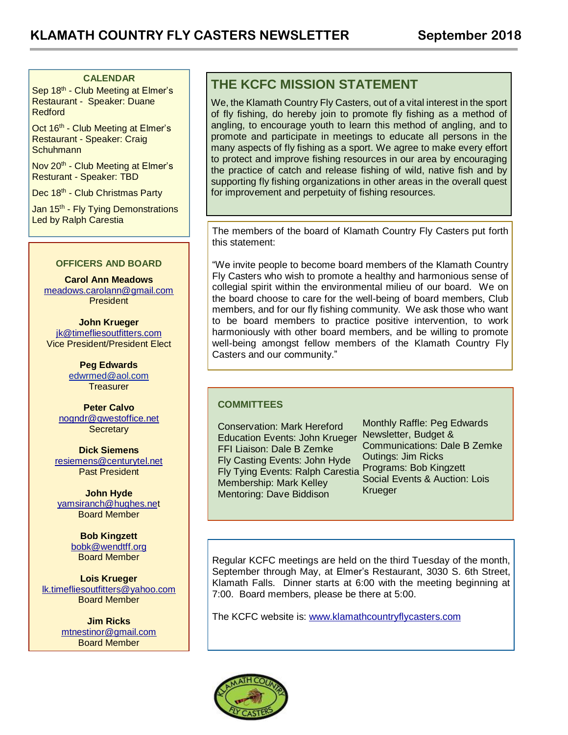#### **CALENDAR**

Sep 18<sup>th</sup> - Club Meeting at Elmer's Restaurant - Speaker: Duane Redford

Oct 16<sup>th</sup> - Club Meeting at Elmer's Restaurant - Speaker: Craig **Schuhmann** 

Nov 20<sup>th</sup> - Club Meeting at Elmer's Resturant - Speaker: TBD

Dec 18<sup>th</sup> - Club Christmas Party

Jan 15<sup>th</sup> - Fly Tying Demonstrations Led by Ralph Carestia

#### **OFFICERS AND BOARD**

**Carol Ann Meadows** [meadows.carolann@gmail.com](http://meadows.carolann@gmail.com/) **President** 

**John Krueger** [jk@timefliesoutfitters.com](http://jk@timefliesoutfitters.com/) Vice President/President Elect

> **Peg Edwards** [edwrmed@aol.com](mailto:edwrmed@aol.com) **Treasurer**

**Peter Calvo** [nogndr@qwestoffice.net](mailto:nogndr@qwestoffice.net) **Secretary** 

**Dick Siemens** [resiemens@centurytel.net](mailto:resiemens@centurytel.net) Past President

**John Hyde** [yamsiranch@hughes.net](mailto:yamsiranch@hughes.ne) Board Member

> **Bob Kingzett** [bobk@wendtff.org](mailto:bobk@jeld-wen.com) Board Member

**Lois Krueger** [lk.timefliesoutfitters@yahoo.com](mailto:lk.timefliesoutfitters@yahoo.com) Board Member

> **Jim Ricks** [mtnestinor@gmail.com](mailto:mtnestinor@gmail.com) Board Member

### **THE KCFC MISSION STATEMENT**

We, the Klamath Country Fly Casters, out of a vital interest in the sport of fly fishing, do hereby join to promote fly fishing as a method of angling, to encourage youth to learn this method of angling, and to promote and participate in meetings to educate all persons in the many aspects of fly fishing as a sport. We agree to make every effort to protect and improve fishing resources in our area by encouraging the practice of catch and release fishing of wild, native fish and by supporting fly fishing organizations in other areas in the overall quest for improvement and perpetuity of fishing resources.

The members of the board of Klamath Country Fly Casters put forth this statement:

"We invite people to become board members of the Klamath Country Fly Casters who wish to promote a healthy and harmonious sense of collegial spirit within the environmental milieu of our board. We on the board choose to care for the well-being of board members, Club members, and for our fly fishing community. We ask those who want to be board members to practice positive intervention, to work harmoniously with other board members, and be willing to promote well-being amongst fellow members of the Klamath Country Fly Casters and our community."

#### **COMMITTEES**

Conservation: Mark Hereford Education Events: John Krueger FFI Liaison: Dale B Zemke Fly Casting Events: John Hyde Fly Tying Events: Ralph Carestia Membership: Mark Kelley Mentoring: Dave Biddison

Monthly Raffle: Peg Edwards Newsletter, Budget & Communications: Dale B Zemke Outings: Jim Ricks Programs: Bob Kingzett Social Events & Auction: Lois Krueger

Regular KCFC meetings are held on the third Tuesday of the month, September through May, at Elmer's Restaurant, 3030 S. 6th Street, Klamath Falls. Dinner starts at 6:00 with the meeting beginning at 7:00. Board members, please be there at 5:00.

The KCFC website is: [www.klamathcountryflycasters.com](http://www.klamathcountryflycasters.com/)

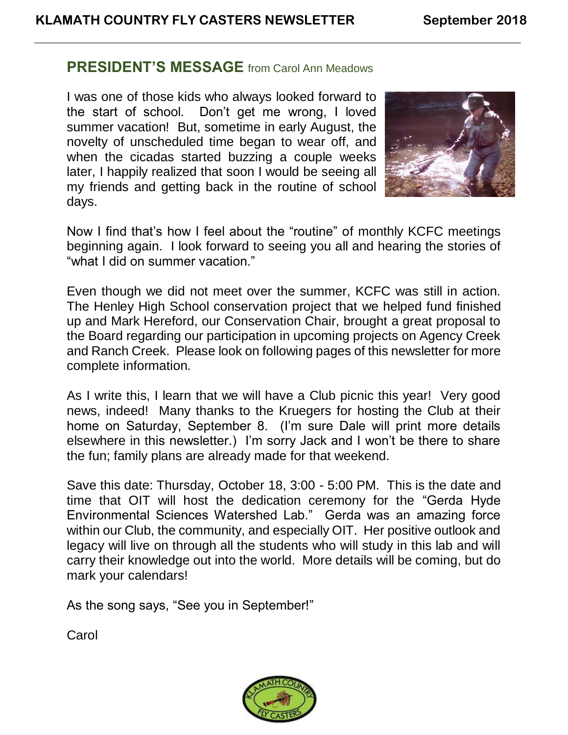### **PRESIDENT'S MESSAGE** from Carol Ann Meadows

I was one of those kids who always looked forward to the start of school. Don't get me wrong, I loved summer vacation! But, sometime in early August, the novelty of unscheduled time began to wear off, and when the cicadas started buzzing a couple weeks later, I happily realized that soon I would be seeing all my friends and getting back in the routine of school days.



Now I find that's how I feel about the "routine" of monthly KCFC meetings beginning again. I look forward to seeing you all and hearing the stories of "what I did on summer vacation."

Even though we did not meet over the summer, KCFC was still in action. The Henley High School conservation project that we helped fund finished up and Mark Hereford, our Conservation Chair, brought a great proposal to the Board regarding our participation in upcoming projects on Agency Creek and Ranch Creek. Please look on following pages of this newsletter for more complete information.

As I write this, I learn that we will have a Club picnic this year! Very good news, indeed! Many thanks to the Kruegers for hosting the Club at their home on Saturday, September 8. (I'm sure Dale will print more details elsewhere in this newsletter.) I'm sorry Jack and I won't be there to share the fun; family plans are already made for that weekend.

Save this date: Thursday, October 18, 3:00 - 5:00 PM. This is the date and time that OIT will host the dedication ceremony for the "Gerda Hyde Environmental Sciences Watershed Lab." Gerda was an amazing force within our Club, the community, and especially OIT. Her positive outlook and legacy will live on through all the students who will study in this lab and will carry their knowledge out into the world. More details will be coming, but do mark your calendars!

As the song says, "See you in September!"

**Carol** 

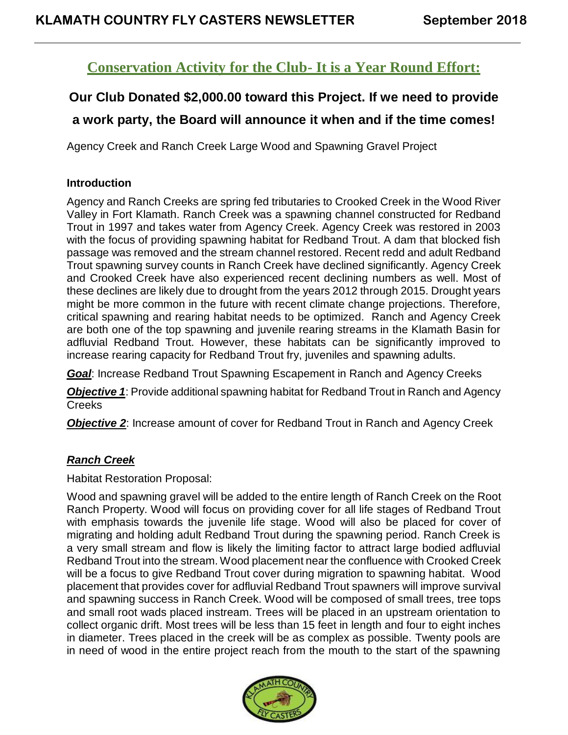### **Conservation Activity for the Club- It is a Year Round Effort:**

### **Our Club Donated \$2,000.00 toward this Project. If we need to provide**

### **a work party, the Board will announce it when and if the time comes!**

Agency Creek and Ranch Creek Large Wood and Spawning Gravel Project

### **Introduction**

Agency and Ranch Creeks are spring fed tributaries to Crooked Creek in the Wood River Valley in Fort Klamath. Ranch Creek was a spawning channel constructed for Redband Trout in 1997 and takes water from Agency Creek. Agency Creek was restored in 2003 with the focus of providing spawning habitat for Redband Trout. A dam that blocked fish passage was removed and the stream channel restored. Recent redd and adult Redband Trout spawning survey counts in Ranch Creek have declined significantly. Agency Creek and Crooked Creek have also experienced recent declining numbers as well. Most of these declines are likely due to drought from the years 2012 through 2015. Drought years might be more common in the future with recent climate change projections. Therefore, critical spawning and rearing habitat needs to be optimized. Ranch and Agency Creek are both one of the top spawning and juvenile rearing streams in the Klamath Basin for adfluvial Redband Trout. However, these habitats can be significantly improved to increase rearing capacity for Redband Trout fry, juveniles and spawning adults.

*Goal*: Increase Redband Trout Spawning Escapement in Ranch and Agency Creeks

*Objective 1*: Provide additional spawning habitat for Redband Trout in Ranch and Agency **Creeks** 

**Objective 2:** Increase amount of cover for Redband Trout in Ranch and Agency Creek

### *Ranch Creek*

Habitat Restoration Proposal:

Wood and spawning gravel will be added to the entire length of Ranch Creek on the Root Ranch Property. Wood will focus on providing cover for all life stages of Redband Trout with emphasis towards the juvenile life stage. Wood will also be placed for cover of migrating and holding adult Redband Trout during the spawning period. Ranch Creek is a very small stream and flow is likely the limiting factor to attract large bodied adfluvial Redband Trout into the stream. Wood placement near the confluence with Crooked Creek will be a focus to give Redband Trout cover during migration to spawning habitat. Wood placement that provides cover for adfluvial Redband Trout spawners will improve survival and spawning success in Ranch Creek. Wood will be composed of small trees, tree tops and small root wads placed instream. Trees will be placed in an upstream orientation to collect organic drift. Most trees will be less than 15 feet in length and four to eight inches in diameter. Trees placed in the creek will be as complex as possible. Twenty pools are in need of wood in the entire project reach from the mouth to the start of the spawning

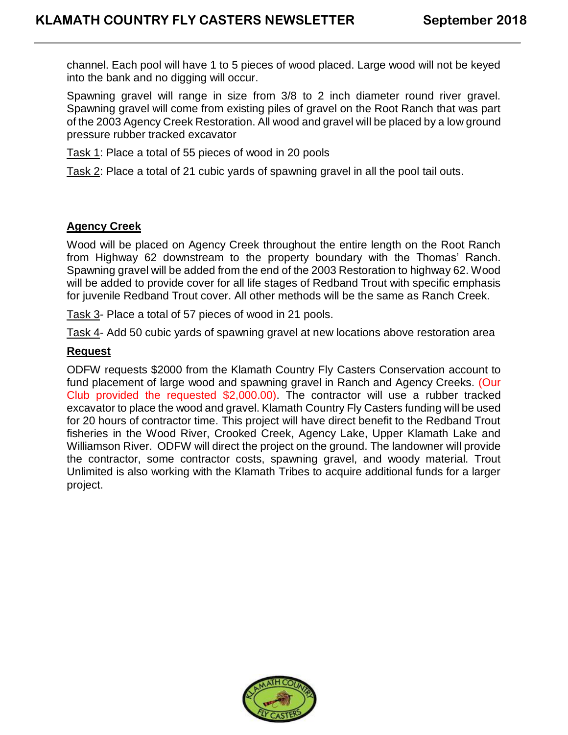channel. Each pool will have 1 to 5 pieces of wood placed. Large wood will not be keyed into the bank and no digging will occur.

Spawning gravel will range in size from 3/8 to 2 inch diameter round river gravel. Spawning gravel will come from existing piles of gravel on the Root Ranch that was part of the 2003 Agency Creek Restoration. All wood and gravel will be placed by a low ground pressure rubber tracked excavator

Task 1: Place a total of 55 pieces of wood in 20 pools

Task 2: Place a total of 21 cubic yards of spawning gravel in all the pool tail outs.

### **Agency Creek**

Wood will be placed on Agency Creek throughout the entire length on the Root Ranch from Highway 62 downstream to the property boundary with the Thomas' Ranch. Spawning gravel will be added from the end of the 2003 Restoration to highway 62. Wood will be added to provide cover for all life stages of Redband Trout with specific emphasis for juvenile Redband Trout cover. All other methods will be the same as Ranch Creek.

Task 3- Place a total of 57 pieces of wood in 21 pools.

Task 4- Add 50 cubic yards of spawning gravel at new locations above restoration area

### **Request**

ODFW requests \$2000 from the Klamath Country Fly Casters Conservation account to fund placement of large wood and spawning gravel in Ranch and Agency Creeks. (Our Club provided the requested \$2,000.00). The contractor will use a rubber tracked excavator to place the wood and gravel. Klamath Country Fly Casters funding will be used for 20 hours of contractor time. This project will have direct benefit to the Redband Trout fisheries in the Wood River, Crooked Creek, Agency Lake, Upper Klamath Lake and Williamson River. ODFW will direct the project on the ground. The landowner will provide the contractor, some contractor costs, spawning gravel, and woody material. Trout Unlimited is also working with the Klamath Tribes to acquire additional funds for a larger project.

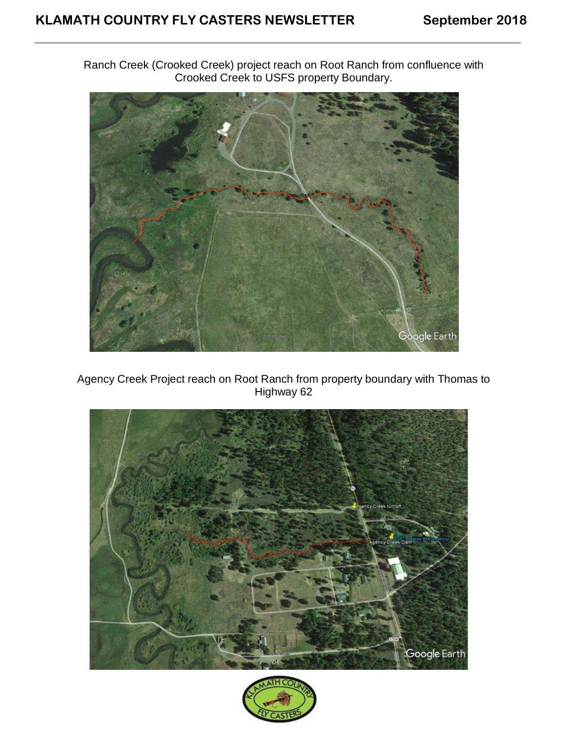Ranch Creek (Crooked Creek) project reach on Root Ranch from confluence with Crooked Creek to USFS property Boundary.



Agency Creek Project reach on Root Ranch from property boundary with Thomas to Highway 62



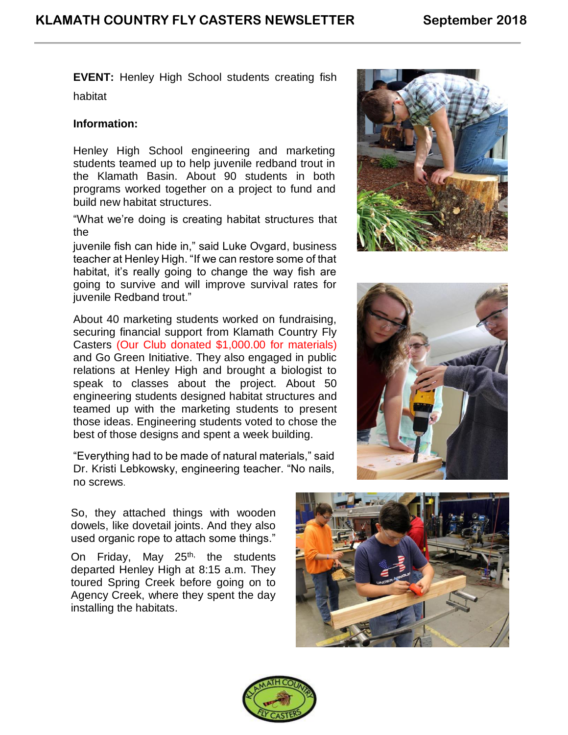**EVENT:** Henley High School students creating fish habitat

### **Information:**

Henley High School engineering and marketing students teamed up to help juvenile redband trout in the Klamath Basin. About 90 students in both programs worked together on a project to fund and build new habitat structures.

"What we're doing is creating habitat structures that the

juvenile fish can hide in," said Luke Ovgard, business teacher at Henley High. "If we can restore some of that habitat, it's really going to change the way fish are going to survive and will improve survival rates for juvenile Redband trout."

About 40 marketing students worked on fundraising, securing financial support from Klamath Country Fly Casters (Our Club donated \$1,000.00 for materials) and Go Green Initiative. They also engaged in public relations at Henley High and brought a biologist to speak to classes about the project. About 50 engineering students designed habitat structures and teamed up with the marketing students to present those ideas. Engineering students voted to chose the best of those designs and spent a week building.

"Everything had to be made of natural materials," said Dr. Kristi Lebkowsky, engineering teacher. "No nails, no screws.

So, they attached things with wooden dowels, like dovetail joints. And they also used organic rope to attach some things."

On Friday, May 25<sup>th,</sup> the students departed Henley High at 8:15 a.m. They toured Spring Creek before going on to Agency Creek, where they spent the day installing the habitats.







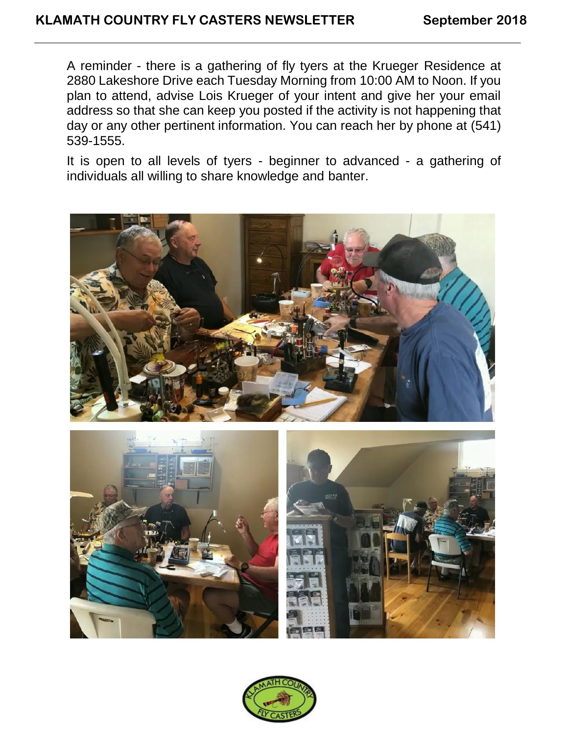A reminder - there is a gathering of fly tyers at the Krueger Residence at 2880 Lakeshore Drive each Tuesday Morning from 10:00 AM to Noon. If you plan to attend, advise Lois Krueger of your intent and give her your email address so that she can keep you posted if the activity is not happening that day or any other pertinent information. You can reach her by phone at (541) 539-1555.

It is open to all levels of tyers - beginner to advanced - a gathering of individuals all willing to share knowledge and banter.







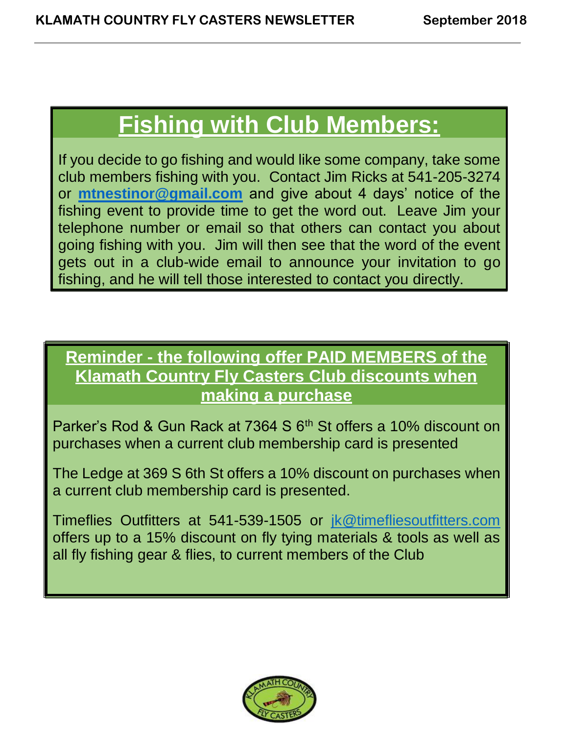# **Fishing with Club Members:**

If you decide to go fishing and would like some company, take some club members fishing with you. Contact Jim Ricks at 541-205-3274 or **[mtnestinor@gmail.com](mailto:mtnestinor@gmail.com)** and give about 4 days' notice of the fishing event to provide time to get the word out. Leave Jim your telephone number or email so that others can contact you about going fishing with you. Jim will then see that the word of the event gets out in a club-wide email to announce your invitation to go fishing, and he will tell those interested to contact you directly.

# **Reminder - the following offer PAID MEMBERS of the Klamath Country Fly Casters Club discounts when making a purchase**

Parker's Rod & Gun Rack at 7364 S 6<sup>th</sup> St offers a 10% discount on purchases when a current club membership card is presented

The Ledge at 369 S 6th St offers a 10% discount on purchases when a current club membership card is presented.

Timeflies Outfitters at 541-539-1505 or [jk@timefliesoutfitters.com](mailto:jk@timefliesoutfitters.com) offers up to a 15% discount on fly tying materials & tools as well as all fly fishing gear & flies, to current members of the Club

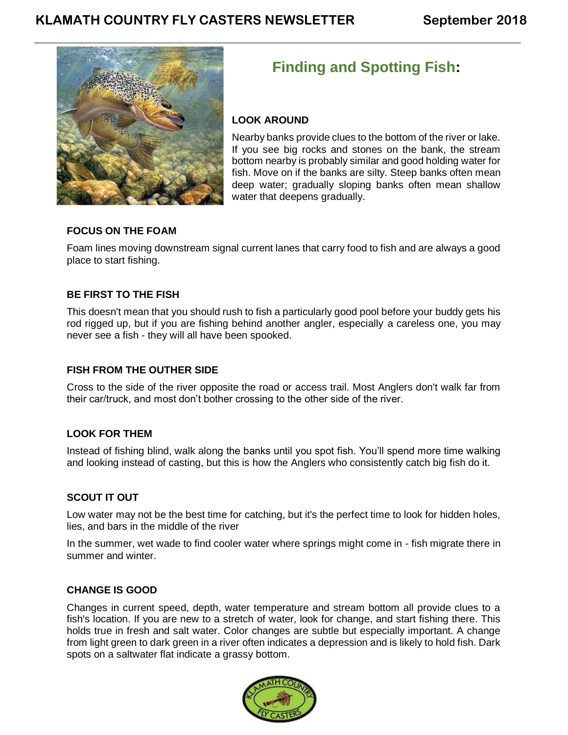

## **Finding and Spotting Fish:**

### **LOOK AROUND**

Nearby banks provide clues to the bottom of the river or lake. If you see big rocks and stones on the bank, the stream bottom nearby is probably similar and good holding water for fish. Move on if the banks are silty. Steep banks often mean deep water; gradually sloping banks often mean shallow water that deepens gradually.

### **FOCUS ON THE FOAM**

Foam lines moving downstream signal current lanes that carry food to fish and are always a good place to start fishing.

### **BE FIRST TO THE FISH**

This doesn't mean that you should rush to fish a particularly good pool before your buddy gets his rod rigged up, but if you are fishing behind another angler, especially a careless one, you may never see a fish - they will all have been spooked.

### **FISH FROM THE OUTHER SIDE**

Cross to the side of the river opposite the road or access trail. Most Anglers don't walk far from their car/truck, and most don't bother crossing to the other side of the river.

### **LOOK FOR THEM**

Instead of fishing blind, walk along the banks until you spot fish. You'll spend more time walking and looking instead of casting, but this is how the Anglers who consistently catch big fish do it.

### **SCOUT IT OUT**

Low water may not be the best time for catching, but it's the perfect time to look for hidden holes, lies, and bars in the middle of the river

In the summer, wet wade to find cooler water where springs might come in - fish migrate there in summer and winter.

### **CHANGE IS GOOD**

Changes in current speed, depth, water temperature and stream bottom all provide clues to a fish's location. If you are new to a stretch of water, look for change, and start fishing there. This holds true in fresh and salt water. Color changes are subtle but especially important. A change from light green to dark green in a river often indicates a depression and is likely to hold fish. Dark spots on a saltwater flat indicate a grassy bottom.

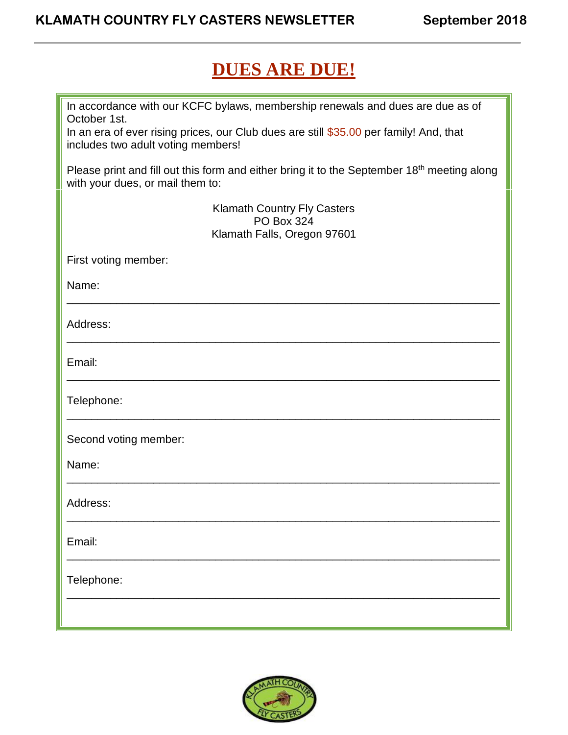# **DUES ARE DUE!**

| In accordance with our KCFC bylaws, membership renewals and dues are due as of<br>October 1st.<br>In an era of ever rising prices, our Club dues are still \$35.00 per family! And, that |  |  |
|------------------------------------------------------------------------------------------------------------------------------------------------------------------------------------------|--|--|
| includes two adult voting members!                                                                                                                                                       |  |  |
| Please print and fill out this form and either bring it to the September 18 <sup>th</sup> meeting along<br>with your dues, or mail them to:                                              |  |  |
| <b>Klamath Country Fly Casters</b><br><b>PO Box 324</b>                                                                                                                                  |  |  |
| Klamath Falls, Oregon 97601                                                                                                                                                              |  |  |
| First voting member:                                                                                                                                                                     |  |  |
| Name:                                                                                                                                                                                    |  |  |
|                                                                                                                                                                                          |  |  |
| Address:                                                                                                                                                                                 |  |  |
| Email:                                                                                                                                                                                   |  |  |
| Telephone:                                                                                                                                                                               |  |  |
| Second voting member:                                                                                                                                                                    |  |  |
| Name:                                                                                                                                                                                    |  |  |
| Address:                                                                                                                                                                                 |  |  |
| Email:                                                                                                                                                                                   |  |  |
| Telephone:                                                                                                                                                                               |  |  |
|                                                                                                                                                                                          |  |  |

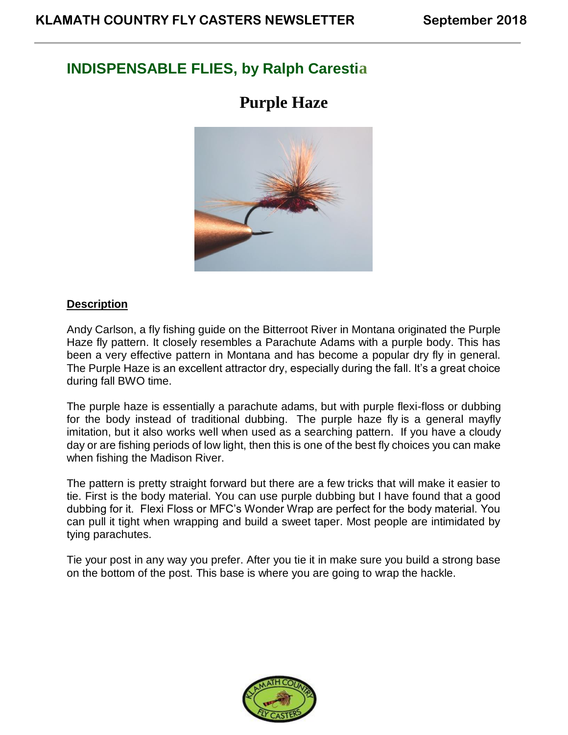### **INDISPENSABLE FLIES, by Ralph Carestia**

## **Purple Haze**



### **Description**

Andy Carlson, a fly fishing guide on the Bitterroot River in Montana originated the Purple Haze fly pattern. It closely resembles a Parachute Adams with a purple body. This has been a very effective pattern in Montana and has become a popular dry fly in general. The Purple Haze is an excellent attractor dry, especially during the fall. It's a great choice during fall BWO time.

The purple haze is essentially a parachute adams, but with purple flexi-floss or dubbing for the body instead of traditional dubbing. The purple haze fly is a general mayfly imitation, but it also works well when used as a searching pattern. If you have a cloudy day or are fishing periods of low light, then this is one of the best fly choices you can make when fishing the Madison River.

The pattern is pretty straight forward but there are a few tricks that will make it easier to tie. First is the body material. You can use purple dubbing but I have found that a good dubbing for it. Flexi Floss or MFC's Wonder Wrap are perfect for the body material. You can pull it tight when wrapping and build a sweet taper. Most people are intimidated by tying parachutes.

Tie your post in any way you prefer. After you tie it in make sure you build a strong base on the bottom of the post. This base is where you are going to wrap the hackle.

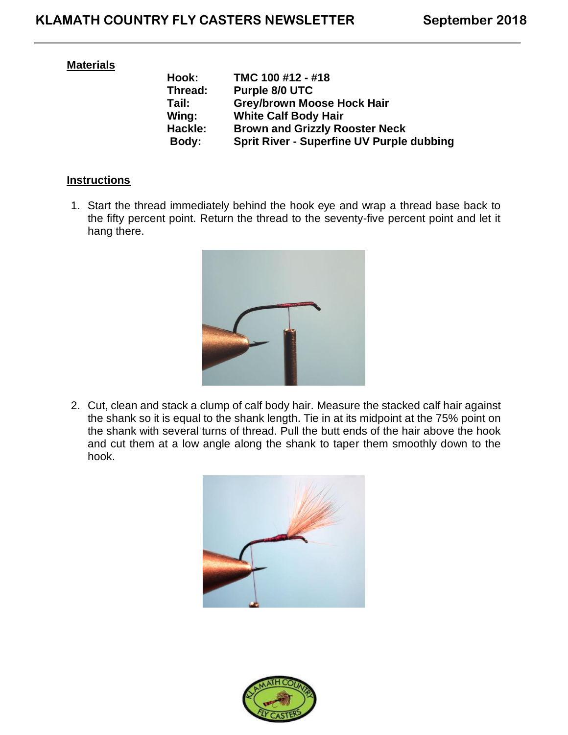### **Materials**

| Hook:   | TMC 100 #12 - #18                                |
|---------|--------------------------------------------------|
| Thread: | Purple 8/0 UTC                                   |
| Tail:   | <b>Grey/brown Moose Hock Hair</b>                |
| Wing:   | <b>White Calf Body Hair</b>                      |
| Hackle: | <b>Brown and Grizzly Rooster Neck</b>            |
| Body:   | <b>Sprit River - Superfine UV Purple dubbing</b> |

### **Instructions**

1. Start the thread immediately behind the hook eye and wrap a thread base back to the fifty percent point. Return the thread to the seventy-five percent point and let it hang there.



2. Cut, clean and stack a clump of calf body hair. Measure the stacked calf hair against the shank so it is equal to the shank length. Tie in at its midpoint at the 75% point on the shank with several turns of thread. Pull the butt ends of the hair above the hook and cut them at a low angle along the shank to taper them smoothly down to the hook.



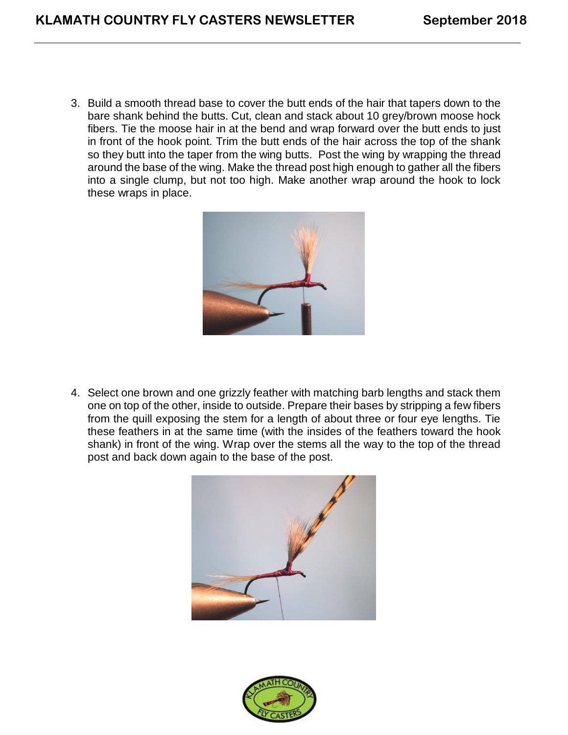3. Build a smooth thread base to cover the butt ends of the hair that tapers down to the bare shank behind the butts. Cut, clean and stack about 10 grey/brown moose hock fibers. Tie the moose hair in at the bend and wrap forward over the butt ends to just in front of the hook point. Trim the butt ends of the hair across the top of the shank so they butt into the taper from the wing butts. Post the wing by wrapping the thread around the base of the wing. Make the thread post high enough to gather all the fibers into a single clump, but not too high. Make another wrap around the hook to lock these wraps in place.



4. Select one brown and one grizzly feather with matching barb lengths and stack them one on top of the other, inside to outside. Prepare their bases by stripping a few fibers from the quill exposing the stem for a length of about three or four eye lengths. Tie these feathers in at the same time (with the insides of the feathers toward the hook shank) in front of the wing. Wrap over the stems all the way to the top of the thread post and back down again to the base of the post.



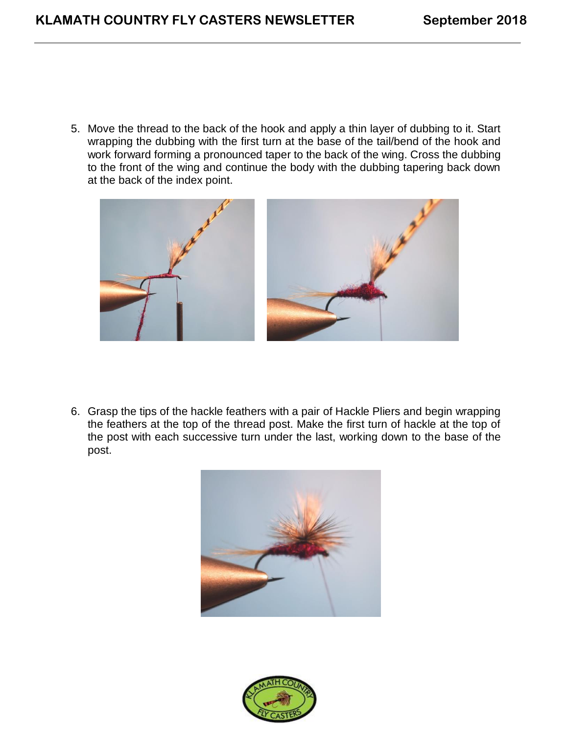5. Move the thread to the back of the hook and apply a thin layer of dubbing to it. Start wrapping the dubbing with the first turn at the base of the tail/bend of the hook and work forward forming a pronounced taper to the back of the wing. Cross the dubbing to the front of the wing and continue the body with the dubbing tapering back down at the back of the index point.



6. Grasp the tips of the hackle feathers with a pair of Hackle Pliers and begin wrapping the feathers at the top of the thread post. Make the first turn of hackle at the top of the post with each successive turn under the last, working down to the base of the post.